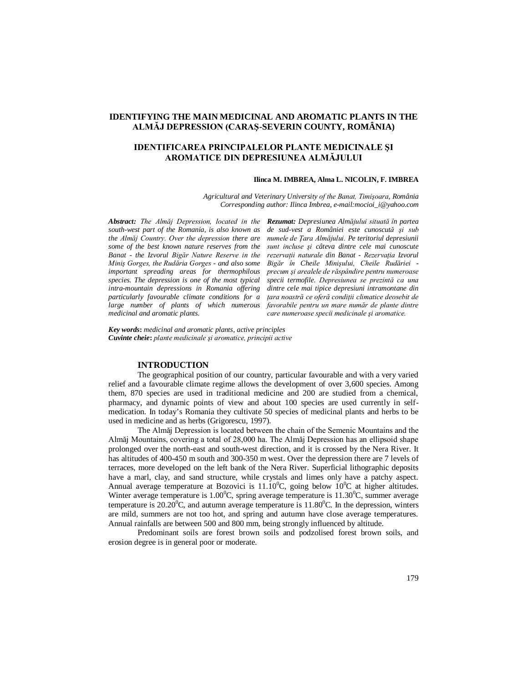# **IDENTIFYING THE MAIN MEDICINAL AND AROMATIC PLANTS IN THE ALMĂJ DEPRESSION (CARAŞ-SEVERIN COUNTY, ROMÂNIA)**

# **IDENTIFICAREA PRINCIPALELOR PLANTE MEDICINALE ŞI AROMATICE DIN DEPRESIUNEA ALMĂJULUI**

### **Ilinca M. IMBREA, Alma L. NICOLIN, F. IMBREA**

*Agricultural and Veterinary University of the Banat, Timişoara, România Corresponding author: Ilinca Imbrea, e-mail:mocioi\_i@yahoo.com*

*Abstract: The Almăj Depression, located in the Rezumat: Depresiunea Almăjului situată în partea south-west part of the Romania, is also known as the Almăj Country. Over the depression there are some of the best known nature reserves from the Banat - the Izvorul Bigăr Nature Reserve in the Miniş Gorges, the Rudăria Gorges - and also some important spreading areas for thermophilous species. The depression is one of the most typical intra-mountain depressions in Romania offering particularly favourable climate conditions for a large number of plants of which numerous medicinal and aromatic plants.*

*de sud-vest a României este cunoscută şi sub numele de Ţara Almăjului. Pe teritoriul depresiunii sunt incluse şi câteva dintre cele mai cunoscute rezervaţii naturale din Banat - Rezervaţia Izvorul Bigăr în Cheile Minişului, Cheile Rudăriei precum şi arealele de răspândire pentru numeroase specii termofile. Depresiunea se prezintă ca una dintre cele mai tipice depresiuni intramontane din ţara noastră ce oferă condiţii climatice deosebit de favorabile pentru un mare număr de plante dintre care numeroase specii medicinale şi aromatice.* 

*Key words***:** *medicinal and aromatic plants, active principles Cuvinte cheie***:** *plante medicinale şi aromatice, principii active*

## **INTRODUCTION**

The geographical position of our country, particular favourable and with a very varied relief and a favourable climate regime allows the development of over 3,600 species. Among them, 870 species are used in traditional medicine and 200 are studied from a chemical, pharmacy, and dynamic points of view and about 100 species are used currently in selfmedication. In today's Romania they cultivate 50 species of medicinal plants and herbs to be used in medicine and as herbs (Grigorescu, 1997).

The Almăj Depression is located between the chain of the Semenic Mountains and the Almăj Mountains, covering a total of 28,000 ha. The Almăj Depression has an ellipsoid shape prolonged over the north-east and south-west direction, and it is crossed by the Nera River. It has altitudes of 400-450 m south and 300-350 m west. Over the depression there are 7 levels of terraces, more developed on the left bank of the Nera River. Superficial lithographic deposits have a marl, clay, and sand structure, while crystals and limes only have a patchy aspect. Annual average temperature at Bozovici is  $11.10^{\circ}$ C, going below  $10^{\circ}$ C at higher altitudes. Winter average temperature is 1.00<sup>o</sup>C, spring average temperature is 11.30<sup>o</sup>C, summer average temperature is 20.20<sup>°</sup>C, and autumn average temperature is  $11.80^{\circ}$ C. In the depression, winters are mild, summers are not too hot, and spring and autumn have close average temperatures. Annual rainfalls are between 500 and 800 mm, being strongly influenced by altitude.

Predominant soils are forest brown soils and podzolised forest brown soils, and erosion degree is in general poor or moderate.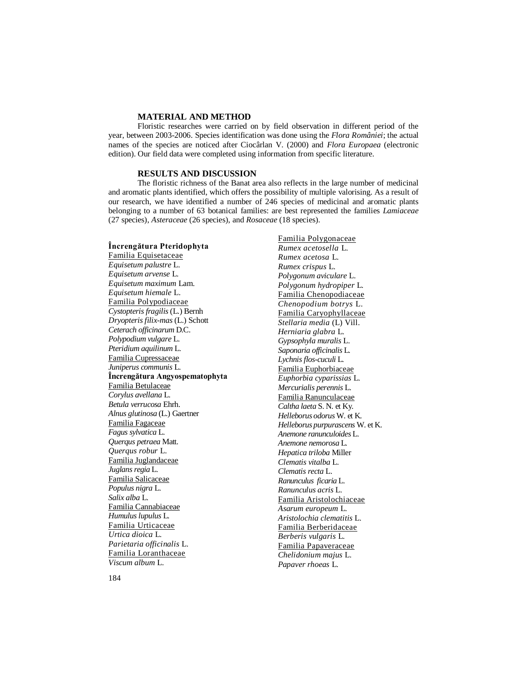### **MATERIAL AND METHOD**

Floristic researches were carried on by field observation in different period of the year, between 2003-2006. Species identification was done using the *Flora României*; the actual names of the species are noticed after Ciocârlan V. (2000) and *Flora Europaea* (electronic edition). Our field data were completed using information from specific literature.

### **RESULTS AND DISCUSSION**

The floristic richness of the Banat area also reflects in the large number of medicinal and aromatic plants identified, which offers the possibility of multiple valorising. As a result of our research, we have identified a number of 246 species of medicinal and aromatic plants belonging to a number of 63 botanical families: are best represented the families *Lamiaceae* (27 species), *Asteraceae* (26 species), and *Rosaceae* (18 species).

## **Încrengătura Pteridophyta**

Familia Equisetaceae *Equisetum palustre* L. *Equisetum arvense* L. *Equisetum maximum* Lam. *Equisetum hiemale* L. Familia Polypodiaceae *Cystopteris fragilis* (L.) Bernh *Dryopteris filix-mas* (L.) Schott *Ceterach officinarum* D.C. *Polypodium vulgare* L. *Pteridium aquilinum* L. Familia Cupressaceae *Juniperus communis* L. **Încrengătura Angyospematophyta** Familia Betulaceae *Corylus avellana* L. *Betula verrucosa* Ehrh. *Alnus glutinosa* (L.) Gaertner Familia Fagaceae *Fagus sylvatica* L. *Querqus petraea* Matt. *Querqus robur* L. Familia Juglandaceae *Juglans regia* L. Familia Salicaceae *Populus nigra* L. *Salix alba* L. Familia Cannabiaceae *Humulus lupulus* L. Familia Urticaceae *Urtica dioica* L*. Parietaria officinalis* L. Familia Loranthaceae *Viscum album* L.

Familia Polygonaceae *Rumex acetosella* L. *Rumex acetosa* L. *Rumex crispus* L. *Polygonum aviculare* L. *Polygonum hydropiper* L. Familia Chenopodiaceae *Chenopodium botrys* L. Familia Caryophyllaceae *Stellaria media* (L) Vill. *Herniaria glabra* L. *Gypsophyla muralis* L. *Saponaria officinalis* L. *Lychnis flos-cuculi* L. Familia Euphorbiaceae *Euphorbia cyparissias* L. *Mercurialis perennis* L. Familia Ranunculaceae *Caltha laeta* S. N. et Ky. *Helleborus odorus* W. et K. *Helleborus purpurascens* W. et K. *Anemone ranunculoides* L. *Anemone nemorosa* L. *Hepatica triloba* Miller *Clematis vitalba* L. *Clematis recta* L. *Ranunculus ficaria* L. *Ranunculus acris* L. Familia Aristolochiaceae *Asarum europeum* L. *Aristolochia clematitis* L. Familia Berberidaceae *Berberis vulgaris* L. Familia Papaveraceae *Chelidonium majus* L. *Papaver rhoeas* L.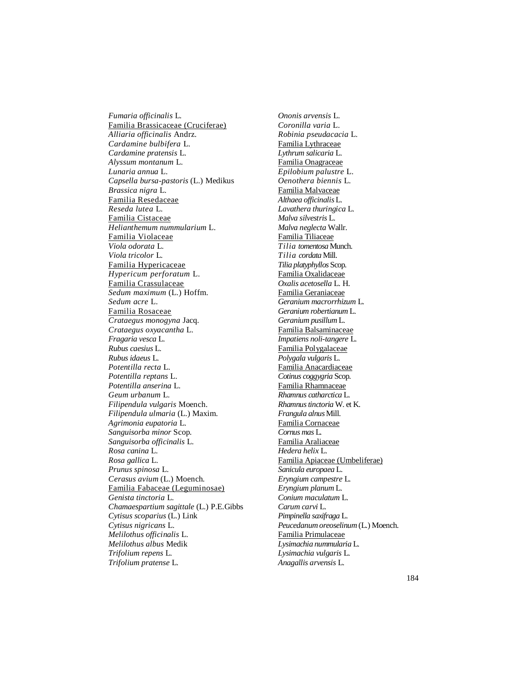*Fumaria officinalis* L. Familia Brassicaceae (Cruciferae) *Alliaria officinalis* Andrz. *Cardamine bulbifera* L*. Cardamine pratensis* L. *Alyssum montanum* L. *Lunaria annua* L. *Capsella bursa-pastoris* (L.) Medikus *Brassica nigra* L. Familia Resedaceae *Reseda lutea* L. Familia Cistaceae *Helianthemum nummularium* L. Familia Violaceae *Viola odorata* L. *Viola tricolor* L. Familia Hypericaceae *Hypericum perforatum* L. Familia Crassulaceae *Sedum maximum* (L.) Hoffm. *Sedum acre* L. Familia Rosaceae *Crataegus monogyna* Jacq. *Crataegus oxyacantha* L. *Fragaria vesca* L. *Rubus caesius* L. *Rubus idaeus* L. *Potentilla recta* L. *Potentilla reptans* L. *Potentilla anserina* L. *Geum urbanum* L. *Filipendula vulgaris* Moench. *Filipendula ulmaria* (L.) Maxim. *Agrimonia eupatoria* L. *Sanguisorba minor* Scop. *Sanguisorba officinalis* L. *Rosa canina* L. *Rosa gallica* L. *Prunus spinosa* L. *Cerasus avium* (L.) Moench. Familia Fabaceae (Leguminosae) *Genista tinctoria* L. *Chamaespartium sagittale* (L.) P.E.Gibbs *Cytisus scoparius* (L.) Link *Cytisus nigricans* L. *Melilothus officinalis* L. *Melilothus albus* Medik *Trifolium repens* L. *Trifolium pratense* L.

*Ononis arvensis* L. *Coronilla varia* L. *Robinia pseudacacia* L. Familia Lythraceae *Lythrum salicaria* L. Familia Onagraceae *Epilobium palustre* L. *Oenothera biennis* L. Familia Malvaceae *Althaea officinalis* L. *Lavathera thuringica* L. *Malva silvestris* L. *Malva neglecta* Wallr. Familia Tiliaceae *Tilia tomentosa* Munch. *Tilia cordata* Mill. *Tilia platyphyllos* Scop. Familia Oxalidaceae *Oxalis acetosella* L. H. Familia Geraniaceae *Geranium macrorrhizum* L. *Geranium robertianum* L. *Geranium pusillum* L. Familia Balsaminaceae *Impatiens noli-tangere* L. Familia Polygalaceae *Polygala vulgaris* L. Familia Anacardiaceae *Cotinus coggygria* Scop. Familia Rhamnaceae *Rhamnus catharctica* L. *Rhamnus tinctoria* W. et K. *Frangula alnus* Mill. Familia Cornaceae *Cornus mas* L. Familia Araliaceae *Hedera helix* L. Familia Apiaceae (Umbeliferae) *Sanicula europaea* L. *Eryngium campestre* L. *Eryngium planum* L. *Conium maculatum* L. *Carum carvi* L. *Pimpinella saxifraga* L. *Peucedanum oreoselinum* (L.) Moench. Familia Primulaceae *Lysimachia nummularia* L. *Lysimachia vulgaris* L. *Anagallis arvensis* L.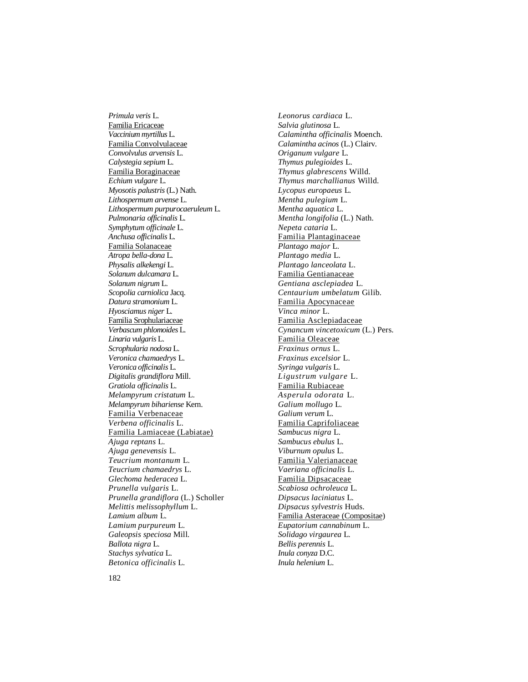*Primula veris* L. Familia Ericaceae *Vaccinium myrtillus* L. Familia Convolvulaceae *Convolvulus arvensis* L. *Calystegia sepium* L. Familia Boraginaceae *Echium vulgare* L. *Myosotis palustris* (L.) Nath. *Lithospermum arvense* L. *Lithospermum purpurocaeruleum* L. *Pulmonaria officinalis* L. *Symphytum officinale* L. *Anchusa officinalis* L. Familia Solanaceae *Atropa bella-dona* L. *Physalis alkekengi* L. *Solanum dulcamara* L. *Solanum nigrum* L. *Scopolia carniolica* Jacq. *Datura stramonium* L. *Hyosciamus niger* L. Familia Srophulariaceae *Verbascum phlomoides* L. *Linaria vulgaris* L. *Scrophularia nodosa* L. *Veronica chamaedrys* L. *Veronica officinalis* L. *Digitalis grandiflora* Mill. *Gratiola officinalis* L. *Melampyrum cristatum* L. *Melampyrum bihariense* Kern. Familia Verbenaceae *Verbena officinalis* L. Familia Lamiaceae (Labiatae) *Ajuga reptans* L. *Ajuga genevensis* L. *Teucrium montanum* L. *Teucrium chamaedrys* L. *Glechoma hederacea* L. *Prunella vulgaris* L. *Prunella grandiflora* (L.) Scholler *Melittis melissophyllum* L. *Lamium album* L. *Lamium purpureum* L. *Galeopsis speciosa* Mill*. Ballota nigra* L. *Stachys sylvatica* L. *Betonica officinalis* L.

*Leonorus cardiaca* L. *Salvia glutinosa* L. *Calamintha officinalis* Moench. *Calamintha acinos* (L.) Clairv. *Origanum vulgare* L. *Thymus pulegioides* L. *Thymus glabrescens* Willd. *Thymus marchallianus* Willd. *Lycopus europaeus* L. *Mentha pulegium* L. *Mentha aquatica* L. *Mentha longifolia* (L.) Nath. *Nepeta cataria* L. Familia Plantaginaceae *Plantago major* L. *Plantago media* L. *Plantago lanceolata* L. Familia Gentianaceae *Gentiana asclepiadea* L. *Centaurium umbelatum* Gilib*.* Familia Apocynaceae *Vinca minor* L. Familia Asclepiadaceae *Cynancum vincetoxicum* (L.) Pers. Familia Oleaceae *Fraxinus ornus* L. *Fraxinus excelsior* L. *Syringa vulgaris* L. *Ligustrum vulgare* L. Familia Rubiaceae *Asperula odorata* L. *Galium mollugo* L. *Galium verum* L. Familia Caprifoliaceae *Sambucus nigra* L. *Sambucus ebulus* L. *Viburnum opulus* L. Familia Valerianaceae *Vaeriana officinalis* L. Familia Dipsacaceae *Scabiosa ochroleuca* L. *Dipsacus laciniatus* L. *Dipsacus sylvestris* Huds. Familia Asteraceae (Compositae) *Eupatorium cannabinum* L. *Solidago virgaurea* L. *Bellis perennis* L. *Inula conyza* D.C. *Inula helenium* L.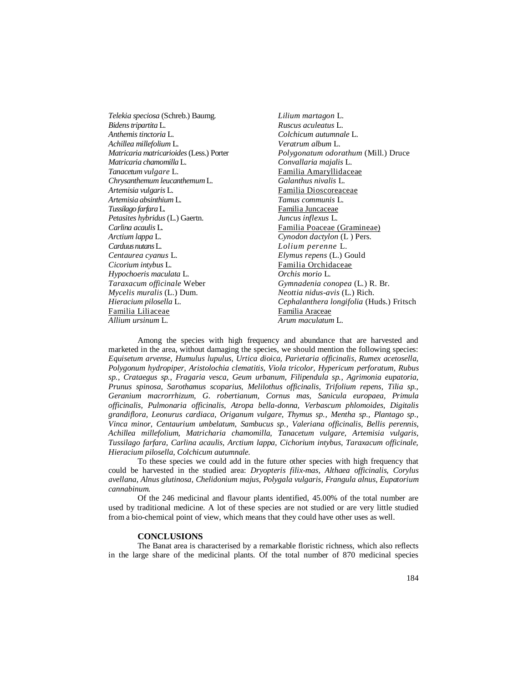| Lilium martagon L.                         |
|--------------------------------------------|
| Ruscus aculeatus L.                        |
| Colchicum autumnale L.                     |
| Veratrum album L.                          |
| <i>Polygonatum odorathum</i> (Mill.) Druce |
| Convallaria majalis L.                     |
| Familia Amaryllidaceae                     |
| Galanthus nivalis L.                       |
| Familia Dioscoreaceae                      |
| Tamus communis L.                          |
| Familia Juncaceae                          |
| Juncus inflexus L.                         |
| Familia Poaceae (Gramineae)                |
| Cynodon dactylon (L) Pers.                 |
| Lolium perenne L.                          |
| <i>Elymus repens</i> (L.) Gould            |
| Familia Orchidaceae                        |
| Orchis morio L.                            |
| Gymnadenia conopea (L.) R. Br.             |
| Neottia nidus-avis (L.) Rich.              |
| Cephalanthera longifolia (Huds.) Fritsch   |
| Familia Araceae                            |
| Arum maculatum L.                          |
|                                            |

Among the species with high frequency and abundance that are harvested and marketed in the area, without damaging the species, we should mention the following species: *Equisetum arvense, Humulus lupulus, Urtica dioica, Parietaria officinalis, Rumex acetosella, Polygonum hydropiper, Aristolochia clematitis, Viola tricolor, Hypericum perforatum, Rubus sp., Crataegus sp., Fragaria vesca, Geum urbanum, Filipendula sp., Agrimonia eupatoria, Prunus spinosa, Sarothamus scoparius, Melilothus officinalis, Trifolium repens, Tilia sp., Geranium macrorrhizum, G. robertianum, Cornus mas, Sanicula europaea, Primula officinalis, Pulmonaria officinalis, Atropa bella-donna, Verbascum phlomoides, Digitalis grandiflora, Leonurus cardiaca, Origanum vulgare, Thymus sp., Mentha sp., Plantago sp., Vinca minor, Centaurium umbelatum, Sambucus sp., Valeriana officinalis, Bellis perennis, Achillea millefolium, Matricharia chamomilla, Tanacetum vulgare, Artemisia vulgaris, Tussilago farfara, Carlina acaulis, Arctium lappa, Cichorium intybus, Taraxacum officinale, Hieracium pilosella, Colchicum autumnale.*

To these species we could add in the future other species with high frequency that could be harvested in the studied area: *Dryopteris filix-mas, Althaea officinalis, Corylus avellana, Alnus glutinosa, Chelidonium majus, Polygala vulgaris, Frangula alnus, Eupatorium cannabinum.*

Of the 246 medicinal and flavour plants identified, 45.00% of the total number are used by traditional medicine. A lot of these species are not studied or are very little studied from a bio-chemical point of view, which means that they could have other uses as well.

#### **CONCLUSIONS**

The Banat area is characterised by a remarkable floristic richness, which also reflects in the large share of the medicinal plants. Of the total number of 870 medicinal species